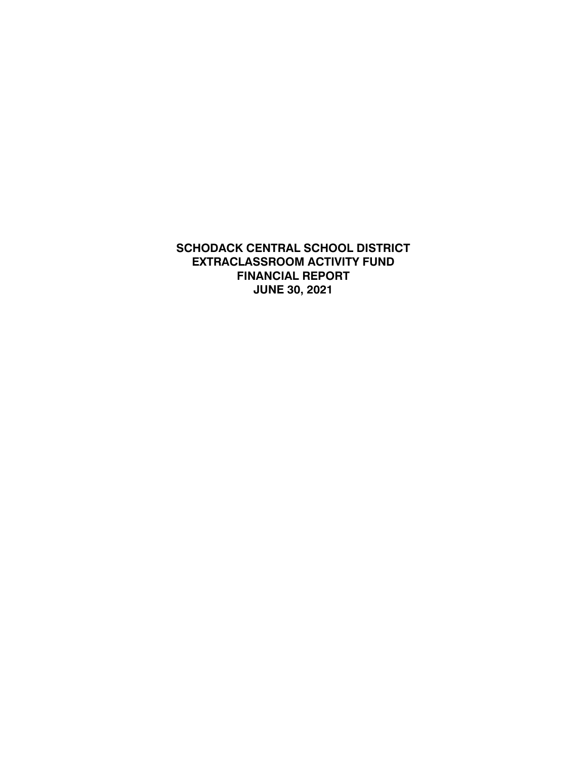**SCHODACK CENTRAL SCHOOL DISTRICT EXTRACLASSROOM ACTIVITY FUND FINANCIAL REPORT JUNE 30, 2021**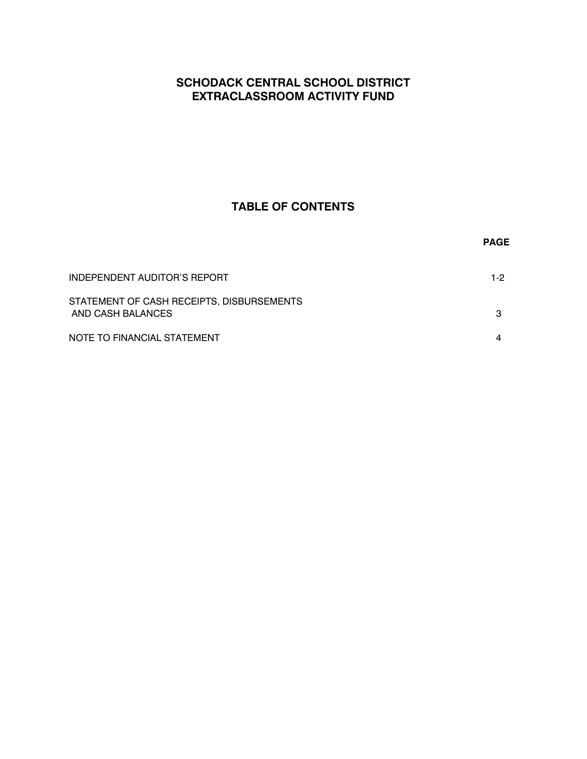# **SCHODACK CENTRAL SCHOOL DISTRICT EXTRACLASSROOM ACTIVITY FUND**

# **TABLE OF CONTENTS**

|                                                                | <b>PAGE</b> |
|----------------------------------------------------------------|-------------|
| INDEPENDENT AUDITOR'S REPORT                                   | $1-2$       |
| STATEMENT OF CASH RECEIPTS, DISBURSEMENTS<br>AND CASH BALANCES | з           |
| NOTE TO FINANCIAL STATEMENT                                    |             |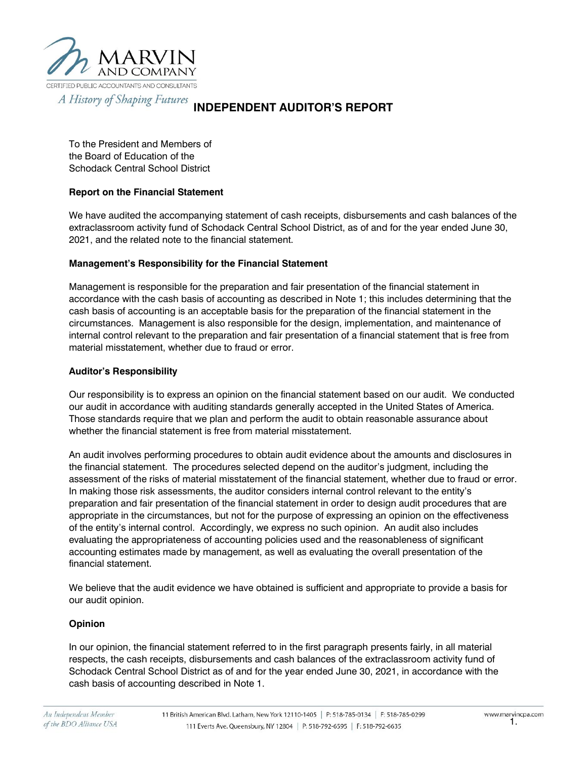

#### A History of Shaping Futures **INDEPENDENT AUDITOR'S REPORT**

To the President and Members of the Board of Education of the Schodack Central School District

### **Report on the Financial Statement**

We have audited the accompanying statement of cash receipts, disbursements and cash balances of the extraclassroom activity fund of Schodack Central School District, as of and for the year ended June 30, 2021, and the related note to the financial statement.

### **Management's Responsibility for the Financial Statement**

Management is responsible for the preparation and fair presentation of the financial statement in accordance with the cash basis of accounting as described in Note 1; this includes determining that the cash basis of accounting is an acceptable basis for the preparation of the financial statement in the circumstances. Management is also responsible for the design, implementation, and maintenance of internal control relevant to the preparation and fair presentation of a financial statement that is free from material misstatement, whether due to fraud or error.

#### **Auditor's Responsibility**

Our responsibility is to express an opinion on the financial statement based on our audit. We conducted our audit in accordance with auditing standards generally accepted in the United States of America. Those standards require that we plan and perform the audit to obtain reasonable assurance about whether the financial statement is free from material misstatement.

An audit involves performing procedures to obtain audit evidence about the amounts and disclosures in the financial statement. The procedures selected depend on the auditor's judgment, including the assessment of the risks of material misstatement of the financial statement, whether due to fraud or error. In making those risk assessments, the auditor considers internal control relevant to the entity's preparation and fair presentation of the financial statement in order to design audit procedures that are appropriate in the circumstances, but not for the purpose of expressing an opinion on the effectiveness of the entity's internal control. Accordingly, we express no such opinion. An audit also includes evaluating the appropriateness of accounting policies used and the reasonableness of significant accounting estimates made by management, as well as evaluating the overall presentation of the financial statement.

We believe that the audit evidence we have obtained is sufficient and appropriate to provide a basis for our audit opinion.

#### **Opinion**

In our opinion, the financial statement referred to in the first paragraph presents fairly, in all material respects, the cash receipts, disbursements and cash balances of the extraclassroom activity fund of Schodack Central School District as of and for the year ended June 30, 2021, in accordance with the cash basis of accounting described in Note 1.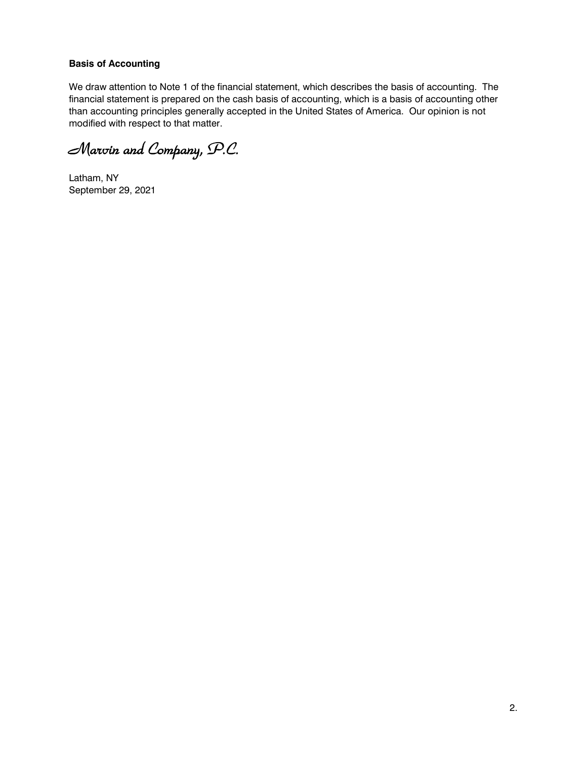#### **Basis of Accounting**

We draw attention to Note 1 of the financial statement, which describes the basis of accounting. The financial statement is prepared on the cash basis of accounting, which is a basis of accounting other than accounting principles generally accepted in the United States of America. Our opinion is not modified with respect to that matter.

Marvin and Company, P.C.

Latham, NY September 29, 2021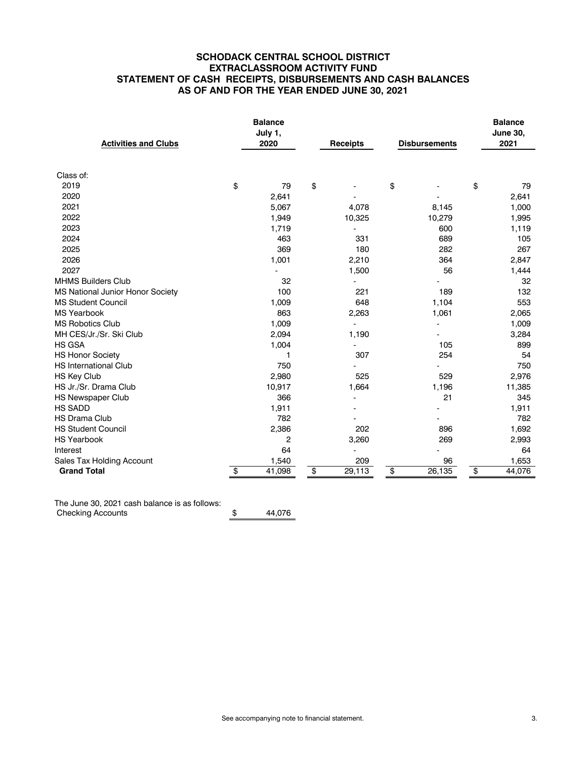#### **SCHODACK CENTRAL SCHOOL DISTRICT EXTRACLASSROOM ACTIVITY FUND STATEMENT OF CASH RECEIPTS, DISBURSEMENTS AND CASH BALANCES AS OF AND FOR THE YEAR ENDED JUNE 30, 2021**

|                                  | <b>Balance</b><br>July 1, |                |    |                          |                      |        | <b>Balance</b><br><b>June 30,</b> |
|----------------------------------|---------------------------|----------------|----|--------------------------|----------------------|--------|-----------------------------------|
| <b>Activities and Clubs</b>      |                           | 2020           |    | <b>Receipts</b>          | <b>Disbursements</b> |        | 2021                              |
|                                  |                           |                |    |                          |                      |        |                                   |
| Class of:                        |                           |                |    |                          |                      |        |                                   |
| 2019                             | \$                        | 79             | \$ |                          | \$                   |        | \$<br>79                          |
| 2020                             |                           | 2,641          |    |                          |                      |        | 2,641                             |
| 2021                             |                           | 5,067          |    | 4,078                    |                      | 8,145  | 1,000                             |
| 2022                             |                           | 1,949          |    | 10,325                   |                      | 10,279 | 1,995                             |
| 2023                             |                           | 1,719          |    |                          |                      | 600    | 1,119                             |
| 2024                             |                           | 463            |    | 331                      |                      | 689    | 105                               |
| 2025                             |                           | 369            |    | 180                      |                      | 282    | 267                               |
| 2026                             |                           | 1,001          |    | 2,210                    |                      | 364    | 2,847                             |
| 2027                             |                           |                |    | 1,500                    |                      | 56     | 1,444                             |
| <b>MHMS Builders Club</b>        |                           | 32             |    |                          |                      |        | 32                                |
| MS National Junior Honor Society |                           | 100            |    | 221                      |                      | 189    | 132                               |
| <b>MS Student Council</b>        |                           | 1,009          |    | 648                      |                      | 1,104  | 553                               |
| <b>MS Yearbook</b>               |                           | 863            |    | 2,263                    |                      | 1,061  | 2,065                             |
| <b>MS Robotics Club</b>          |                           | 1,009          |    | $\overline{\phantom{a}}$ |                      |        | 1,009                             |
| MH CES/Jr./Sr. Ski Club          |                           | 2,094          |    | 1,190                    |                      |        | 3,284                             |
| <b>HS GSA</b>                    |                           | 1,004          |    |                          |                      | 105    | 899                               |
| <b>HS Honor Society</b>          |                           | 1              |    | 307                      |                      | 254    | 54                                |
| <b>HS International Club</b>     |                           | 750            |    |                          |                      |        | 750                               |
| <b>HS Key Club</b>               |                           | 2,980          |    | 525                      |                      | 529    | 2,976                             |
| HS Jr./Sr. Drama Club            |                           | 10,917         |    | 1,664                    |                      | 1,196  | 11,385                            |
| <b>HS Newspaper Club</b>         |                           | 366            |    | $\overline{a}$           |                      | 21     | 345                               |
| <b>HS SADD</b>                   |                           | 1,911          |    |                          |                      |        | 1,911                             |
| <b>HS Drama Club</b>             |                           | 782            |    |                          |                      |        | 782                               |
| <b>HS Student Council</b>        |                           | 2,386          |    | 202                      |                      | 896    | 1,692                             |
| <b>HS Yearbook</b>               |                           | $\overline{c}$ |    | 3,260                    |                      | 269    | 2,993                             |
| Interest                         |                           | 64             |    |                          |                      |        | 64                                |
| Sales Tax Holding Account        |                           | 1,540          |    | 209                      |                      | 96     | 1,653                             |
| <b>Grand Total</b>               | \$                        | 41,098         | \$ | 29,113                   | \$                   | 26,135 | \$<br>44,076                      |

The June 30, 2021 cash balance is as follows: Checking Accounts \$ 44,076